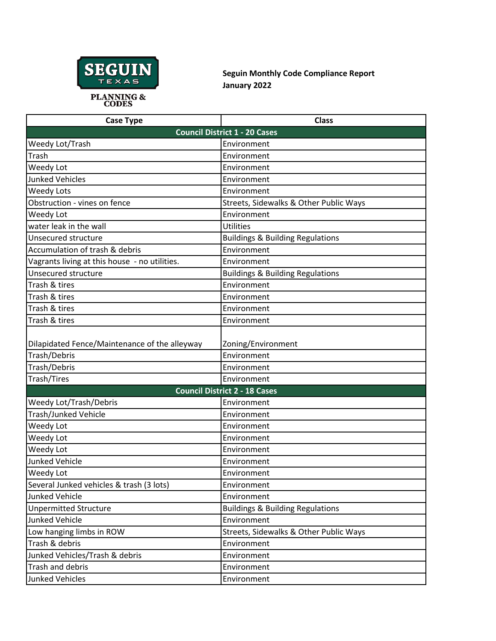

**Seguin Monthly Code Compliance Report January 2022**

| <b>Case Type</b>                              | <b>Class</b>                                |
|-----------------------------------------------|---------------------------------------------|
|                                               | <b>Council District 1 - 20 Cases</b>        |
| Weedy Lot/Trash                               | Environment                                 |
| Trash                                         | Environment                                 |
| Weedy Lot                                     | Environment                                 |
| <b>Junked Vehicles</b>                        | Environment                                 |
| Weedy Lots                                    | Environment                                 |
| Obstruction - vines on fence                  | Streets, Sidewalks & Other Public Ways      |
| Weedy Lot                                     | Environment                                 |
| water leak in the wall                        | <b>Utilities</b>                            |
| Unsecured structure                           | <b>Buildings &amp; Building Regulations</b> |
| Accumulation of trash & debris                | Environment                                 |
| Vagrants living at this house - no utilities. | Environment                                 |
| Unsecured structure                           | <b>Buildings &amp; Building Regulations</b> |
| Trash & tires                                 | Environment                                 |
| Trash & tires                                 | Environment                                 |
| Trash & tires                                 | Environment                                 |
| Trash & tires                                 | Environment                                 |
|                                               |                                             |
| Dilapidated Fence/Maintenance of the alleyway | Zoning/Environment                          |
| Trash/Debris                                  | Environment                                 |
| Trash/Debris                                  | Environment                                 |
| Trash/Tires                                   | Environment                                 |
|                                               | <b>Council District 2 - 18 Cases</b>        |
| Weedy Lot/Trash/Debris                        | Environment                                 |
| Trash/Junked Vehicle                          | Environment                                 |
| Weedy Lot                                     | Environment                                 |
| Weedy Lot                                     | Environment                                 |
| Weedy Lot                                     | Environment                                 |
| <b>Junked Vehicle</b>                         | Environment                                 |
| Weedy Lot                                     | Environment                                 |
| Several Junked vehicles & trash (3 lots)      | Environment                                 |
| <b>Junked Vehicle</b>                         | Environment                                 |
| <b>Unpermitted Structure</b>                  | <b>Buildings &amp; Building Regulations</b> |
| <b>Junked Vehicle</b>                         | Environment                                 |
| Low hanging limbs in ROW                      | Streets, Sidewalks & Other Public Ways      |
| Trash & debris                                | Environment                                 |
| Junked Vehicles/Trash & debris                | Environment                                 |
| Trash and debris                              | Environment                                 |
| <b>Junked Vehicles</b>                        | Environment                                 |